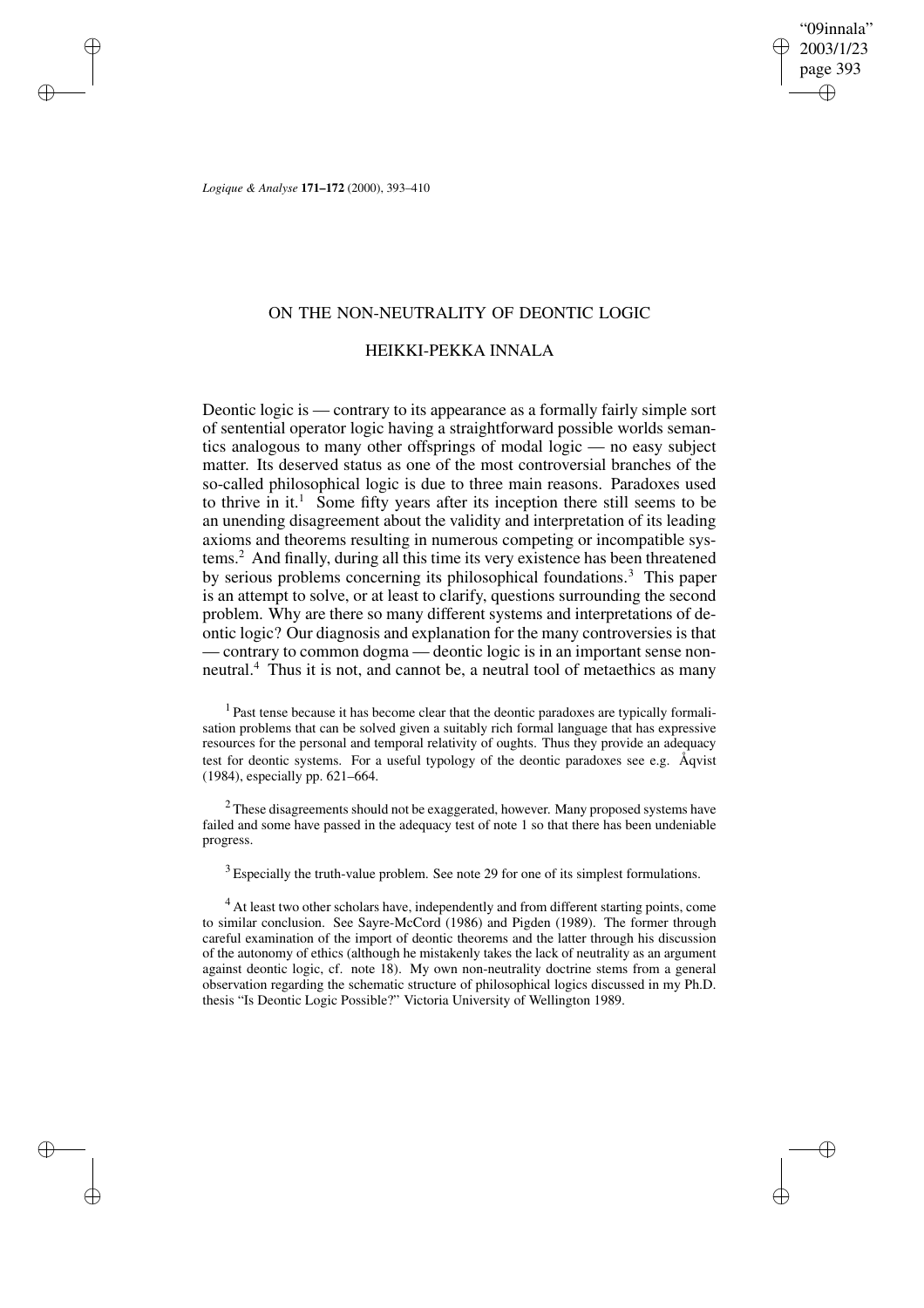"09innala" 2003/1/23 page 393 ✐ ✐

✐

✐

*Logique & Analyse* **171–172** (2000), 393–410

✐

✐

✐

✐

## ON THE NON-NEUTRALITY OF DEONTIC LOGIC

## HEIKKI-PEKKA INNALA

Deontic logic is — contrary to its appearance as a formally fairly simple sort of sentential operator logic having a straightforward possible worlds semantics analogous to many other offsprings of modal logic — no easy subject matter. Its deserved status as one of the most controversial branches of the so-called philosophical logic is due to three main reasons. Paradoxes used to thrive in it.<sup>1</sup> Some fifty years after its inception there still seems to be an unending disagreement about the validity and interpretation of its leading axioms and theorems resulting in numerous competing or incompatible systems.<sup>2</sup> And finally, during all this time its very existence has been threatened by serious problems concerning its philosophical foundations.<sup>3</sup> This paper is an attempt to solve, or at least to clarify, questions surrounding the second problem. Why are there so many different systems and interpretations of deontic logic? Our diagnosis and explanation for the many controversies is that — contrary to common dogma — deontic logic is in an important sense nonneutral.<sup>4</sup> Thus it is not, and cannot be, a neutral tool of metaethics as many

<sup>1</sup> Past tense because it has become clear that the deontic paradoxes are typically formalisation problems that can be solved given a suitably rich formal language that has expressive resources for the personal and temporal relativity of oughts. Thus they provide an adequacy test for deontic systems. For a useful typology of the deontic paradoxes see e.g. Åqvist (1984), especially pp. 621–664.

<sup>2</sup> These disagreements should not be exaggerated, however. Many proposed systems have failed and some have passed in the adequacy test of note 1 so that there has been undeniable progress.

 $3$  Especially the truth-value problem. See note 29 for one of its simplest formulations.

<sup>4</sup> At least two other scholars have, independently and from different starting points, come to similar conclusion. See Sayre-McCord (1986) and Pigden (1989). The former through careful examination of the import of deontic theorems and the latter through his discussion of the autonomy of ethics (although he mistakenly takes the lack of neutrality as an argument against deontic logic, cf. note 18). My own non-neutrality doctrine stems from a general observation regarding the schematic structure of philosophical logics discussed in my Ph.D. thesis "Is Deontic Logic Possible?" Victoria University of Wellington 1989.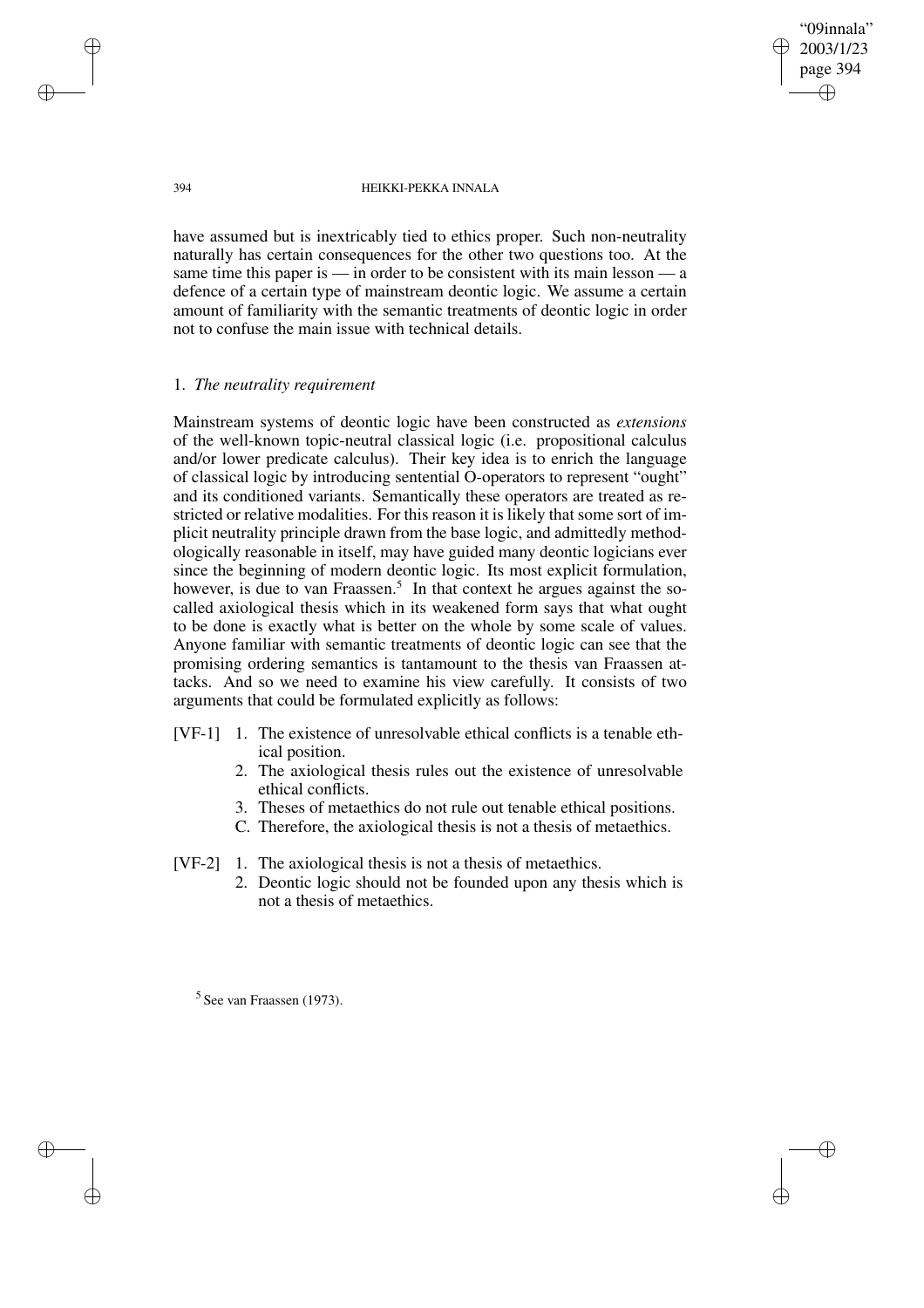"09innala" 2003/1/23 page 394 ✐ ✐

✐

✐

#### 394 HEIKKI-PEKKA INNALA

have assumed but is inextricably tied to ethics proper. Such non-neutrality naturally has certain consequences for the other two questions too. At the same time this paper is — in order to be consistent with its main lesson — a defence of a certain type of mainstream deontic logic. We assume a certain amount of familiarity with the semantic treatments of deontic logic in order not to confuse the main issue with technical details.

## 1. *The neutrality requirement*

Mainstream systems of deontic logic have been constructed as *extensions* of the well-known topic-neutral classical logic (i.e. propositional calculus and/or lower predicate calculus). Their key idea is to enrich the language of classical logic by introducing sentential O-operators to represent "ought" and its conditioned variants. Semantically these operators are treated as restricted or relative modalities. For this reason it is likely that some sort of implicit neutrality principle drawn from the base logic, and admittedly methodologically reasonable in itself, may have guided many deontic logicians ever since the beginning of modern deontic logic. Its most explicit formulation, however, is due to van Fraassen.<sup>5</sup> In that context he argues against the socalled axiological thesis which in its weakened form says that what ought to be done is exactly what is better on the whole by some scale of values. Anyone familiar with semantic treatments of deontic logic can see that the promising ordering semantics is tantamount to the thesis van Fraassen attacks. And so we need to examine his view carefully. It consists of two arguments that could be formulated explicitly as follows:

- [VF-1] 1. The existence of unresolvable ethical conflicts is a tenable ethical position.
	- 2. The axiological thesis rules out the existence of unresolvable ethical conflicts.
	- 3. Theses of metaethics do not rule out tenable ethical positions.
	- C. Therefore, the axiological thesis is not a thesis of metaethics.
- [VF-2] 1. The axiological thesis is not a thesis of metaethics.
	- 2. Deontic logic should not be founded upon any thesis which is not a thesis of metaethics.

<sup>5</sup> See van Fraassen (1973).

✐

✐

✐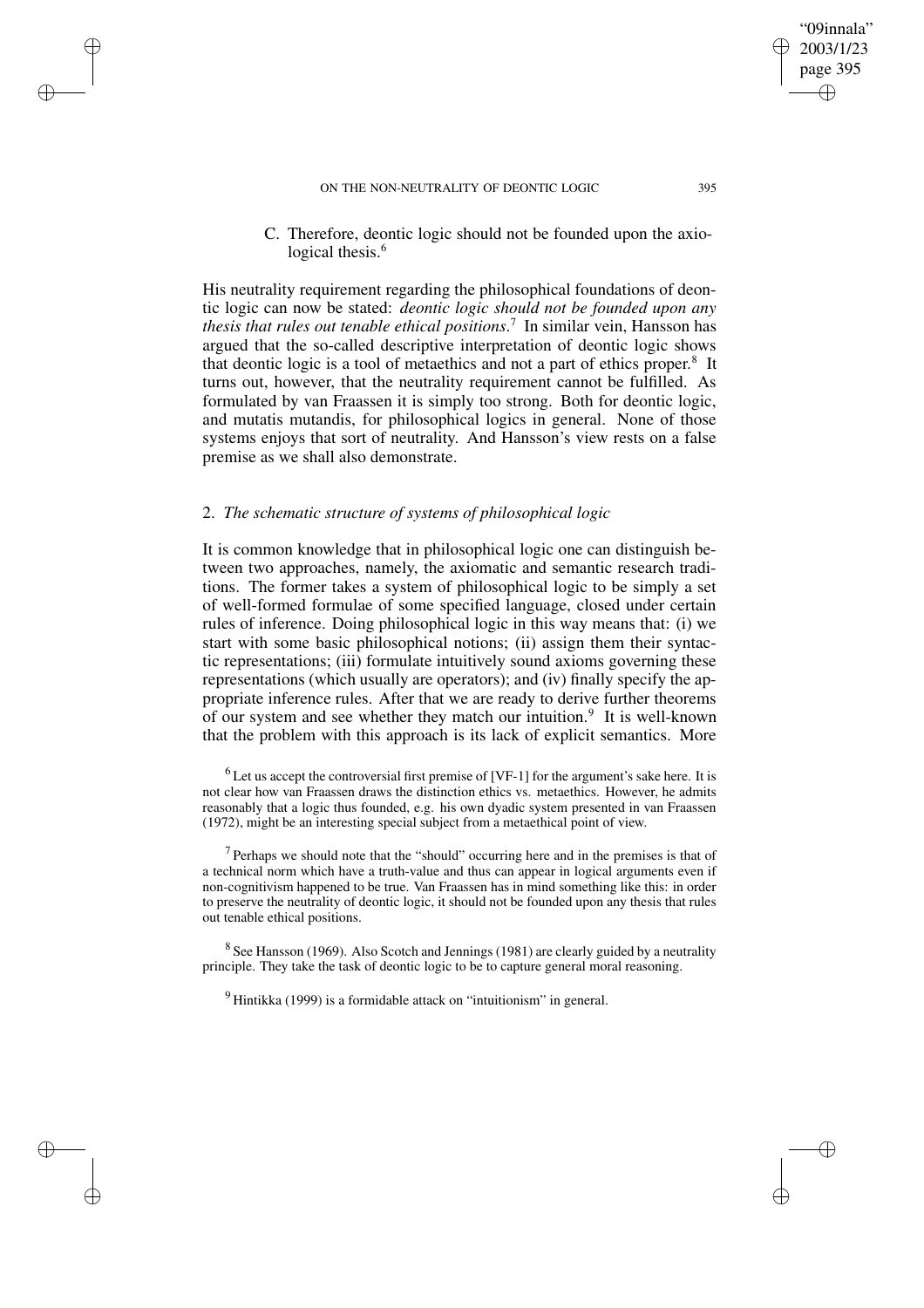✐

✐

✐

✐

C. Therefore, deontic logic should not be founded upon the axiological thesis.<sup>6</sup>

His neutrality requirement regarding the philosophical foundations of deontic logic can now be stated: *deontic logic should not be founded upon any thesis that rules out tenable ethical positions*. 7 In similar vein, Hansson has argued that the so-called descriptive interpretation of deontic logic shows that deontic logic is a tool of metaethics and not a part of ethics proper.<sup>8</sup> It turns out, however, that the neutrality requirement cannot be fulfilled. As formulated by van Fraassen it is simply too strong. Both for deontic logic, and mutatis mutandis, for philosophical logics in general. None of those systems enjoys that sort of neutrality. And Hansson's view rests on a false premise as we shall also demonstrate.

### 2. *The schematic structure of systems of philosophical logic*

It is common knowledge that in philosophical logic one can distinguish between two approaches, namely, the axiomatic and semantic research traditions. The former takes a system of philosophical logic to be simply a set of well-formed formulae of some specified language, closed under certain rules of inference. Doing philosophical logic in this way means that: (i) we start with some basic philosophical notions; (ii) assign them their syntactic representations; (iii) formulate intuitively sound axioms governing these representations (which usually are operators); and (iv) finally specify the appropriate inference rules. After that we are ready to derive further theorems of our system and see whether they match our intuition.<sup>9</sup> It is well-known that the problem with this approach is its lack of explicit semantics. More

 $6$  Let us accept the controversial first premise of [VF-1] for the argument's sake here. It is not clear how van Fraassen draws the distinction ethics vs. metaethics. However, he admits reasonably that a logic thus founded, e.g. his own dyadic system presented in van Fraassen (1972), might be an interesting special subject from a metaethical point of view.

 $<sup>7</sup>$  Perhaps we should note that the "should" occurring here and in the premises is that of</sup> a technical norm which have a truth-value and thus can appear in logical arguments even if non-cognitivism happened to be true. Van Fraassen has in mind something like this: in order to preserve the neutrality of deontic logic, it should not be founded upon any thesis that rules out tenable ethical positions.

 $8$  See Hansson (1969). Also Scotch and Jennings (1981) are clearly guided by a neutrality principle. They take the task of deontic logic to be to capture general moral reasoning.

 $9$  Hintikka (1999) is a formidable attack on "intuitionism" in general.

"09innala" 2003/1/23 page 395

✐

✐

✐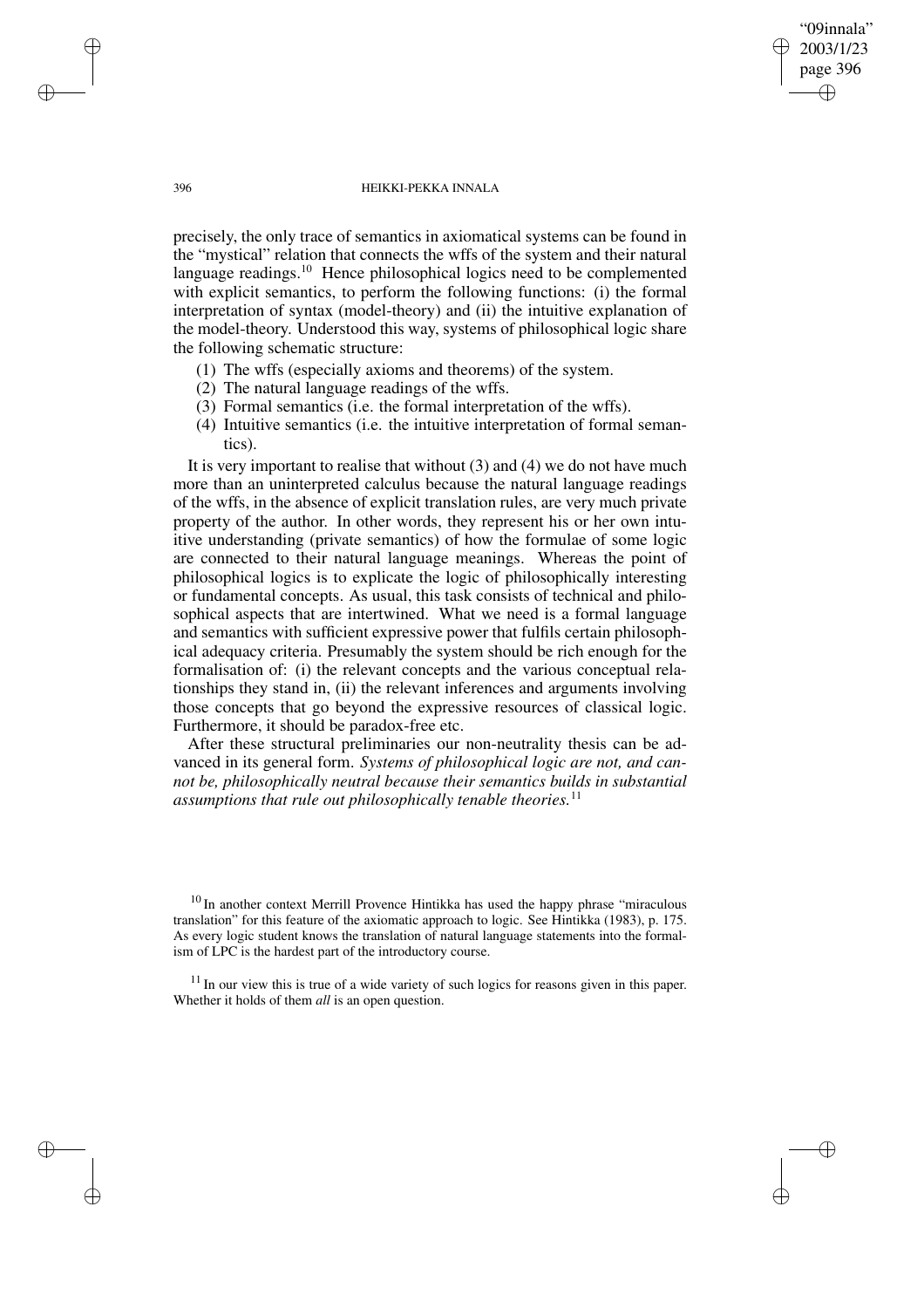"09innala" 2003/1/23 page 396 ✐ ✐

✐

✐

#### 396 HEIKKI-PEKKA INNALA

precisely, the only trace of semantics in axiomatical systems can be found in the "mystical" relation that connects the wffs of the system and their natural language readings.<sup>10</sup> Hence philosophical logics need to be complemented with explicit semantics, to perform the following functions: (i) the formal interpretation of syntax (model-theory) and (ii) the intuitive explanation of the model-theory. Understood this way, systems of philosophical logic share the following schematic structure:

- (1) The wffs (especially axioms and theorems) of the system.
- (2) The natural language readings of the wffs.
- (3) Formal semantics (i.e. the formal interpretation of the wffs).
- (4) Intuitive semantics (i.e. the intuitive interpretation of formal semantics).

It is very important to realise that without (3) and (4) we do not have much more than an uninterpreted calculus because the natural language readings of the wffs, in the absence of explicit translation rules, are very much private property of the author. In other words, they represent his or her own intuitive understanding (private semantics) of how the formulae of some logic are connected to their natural language meanings. Whereas the point of philosophical logics is to explicate the logic of philosophically interesting or fundamental concepts. As usual, this task consists of technical and philosophical aspects that are intertwined. What we need is a formal language and semantics with sufficient expressive power that fulfils certain philosophical adequacy criteria. Presumably the system should be rich enough for the formalisation of: (i) the relevant concepts and the various conceptual relationships they stand in, (ii) the relevant inferences and arguments involving those concepts that go beyond the expressive resources of classical logic. Furthermore, it should be paradox-free etc.

After these structural preliminaries our non-neutrality thesis can be advanced in its general form. *Systems of philosophical logic are not, and cannot be, philosophically neutral because their semantics builds in substantial assumptions that rule out philosophically tenable theories.*<sup>11</sup>

✐

✐

✐

<sup>&</sup>lt;sup>10</sup> In another context Merrill Provence Hintikka has used the happy phrase "miraculous translation" for this feature of the axiomatic approach to logic. See Hintikka (1983), p. 175. As every logic student knows the translation of natural language statements into the formalism of LPC is the hardest part of the introductory course.

 $11$  In our view this is true of a wide variety of such logics for reasons given in this paper. Whether it holds of them *all* is an open question.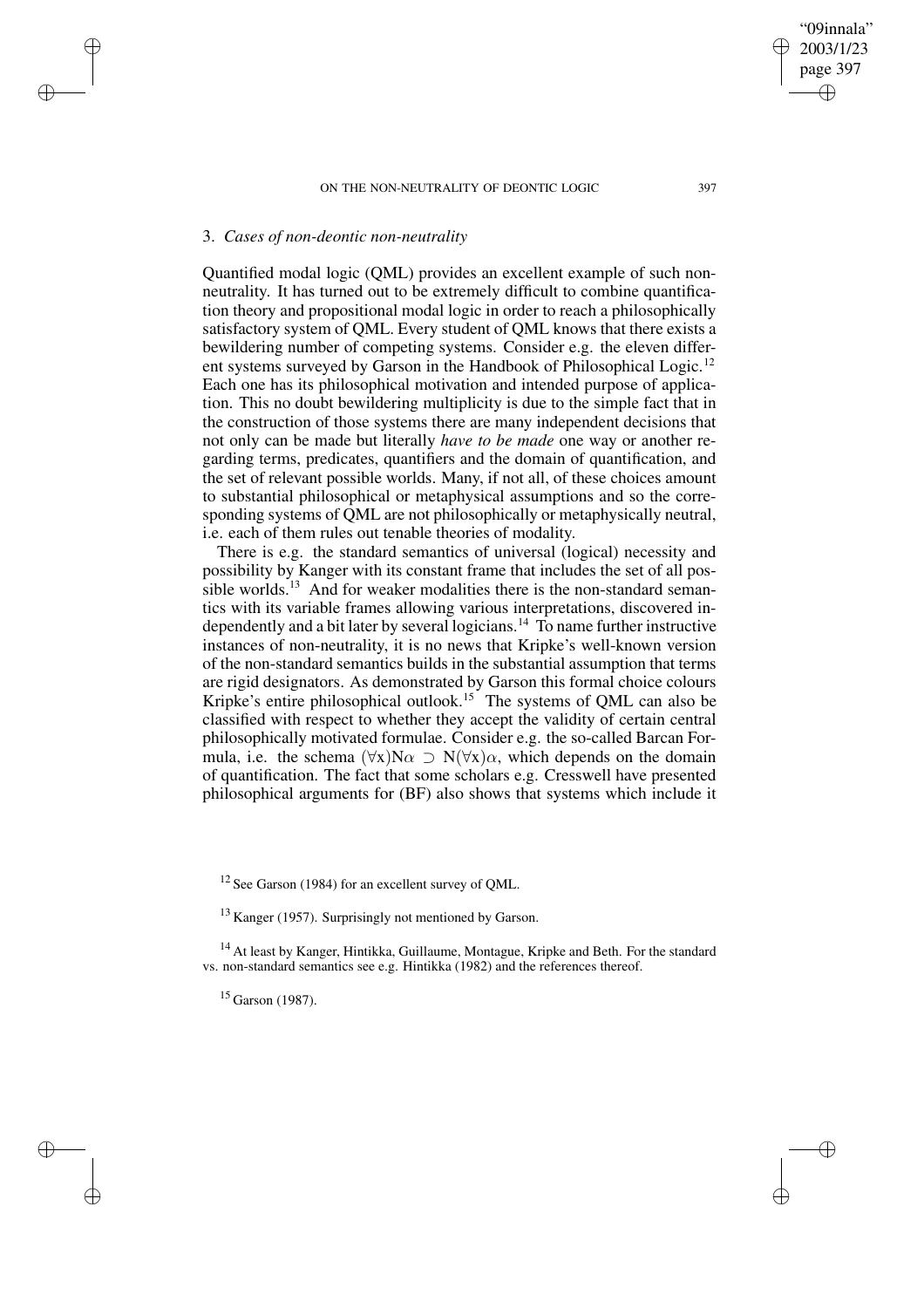### 3. *Cases of non-deontic non-neutrality*

✐

✐

✐

✐

Quantified modal logic (QML) provides an excellent example of such nonneutrality. It has turned out to be extremely difficult to combine quantification theory and propositional modal logic in order to reach a philosophically satisfactory system of QML. Every student of QML knows that there exists a bewildering number of competing systems. Consider e.g. the eleven different systems surveyed by Garson in the Handbook of Philosophical Logic.<sup>12</sup> Each one has its philosophical motivation and intended purpose of application. This no doubt bewildering multiplicity is due to the simple fact that in the construction of those systems there are many independent decisions that not only can be made but literally *have to be made* one way or another regarding terms, predicates, quantifiers and the domain of quantification, and the set of relevant possible worlds. Many, if not all, of these choices amount to substantial philosophical or metaphysical assumptions and so the corresponding systems of QML are not philosophically or metaphysically neutral, i.e. each of them rules out tenable theories of modality.

There is e.g. the standard semantics of universal (logical) necessity and possibility by Kanger with its constant frame that includes the set of all possible worlds.<sup>13</sup> And for weaker modalities there is the non-standard semantics with its variable frames allowing various interpretations, discovered independently and a bit later by several logicians.<sup>14</sup> To name further instructive instances of non-neutrality, it is no news that Kripke's well-known version of the non-standard semantics builds in the substantial assumption that terms are rigid designators. As demonstrated by Garson this formal choice colours Kripke's entire philosophical outlook.<sup>15</sup> The systems of QML can also be classified with respect to whether they accept the validity of certain central philosophically motivated formulae. Consider e.g. the so-called Barcan Formula, i.e. the schema  $(\forall x)N\alpha \supset N(\forall x)\alpha$ , which depends on the domain of quantification. The fact that some scholars e.g. Cresswell have presented philosophical arguments for (BF) also shows that systems which include it

<sup>12</sup> See Garson (1984) for an excellent survey of OML.

<sup>13</sup> Kanger (1957). Surprisingly not mentioned by Garson.

<sup>14</sup> At least by Kanger, Hintikka, Guillaume, Montague, Kripke and Beth. For the standard vs. non-standard semantics see e.g. Hintikka (1982) and the references thereof.

 $15$  Garson (1987).

"09innala" 2003/1/23 page 397

✐

✐

✐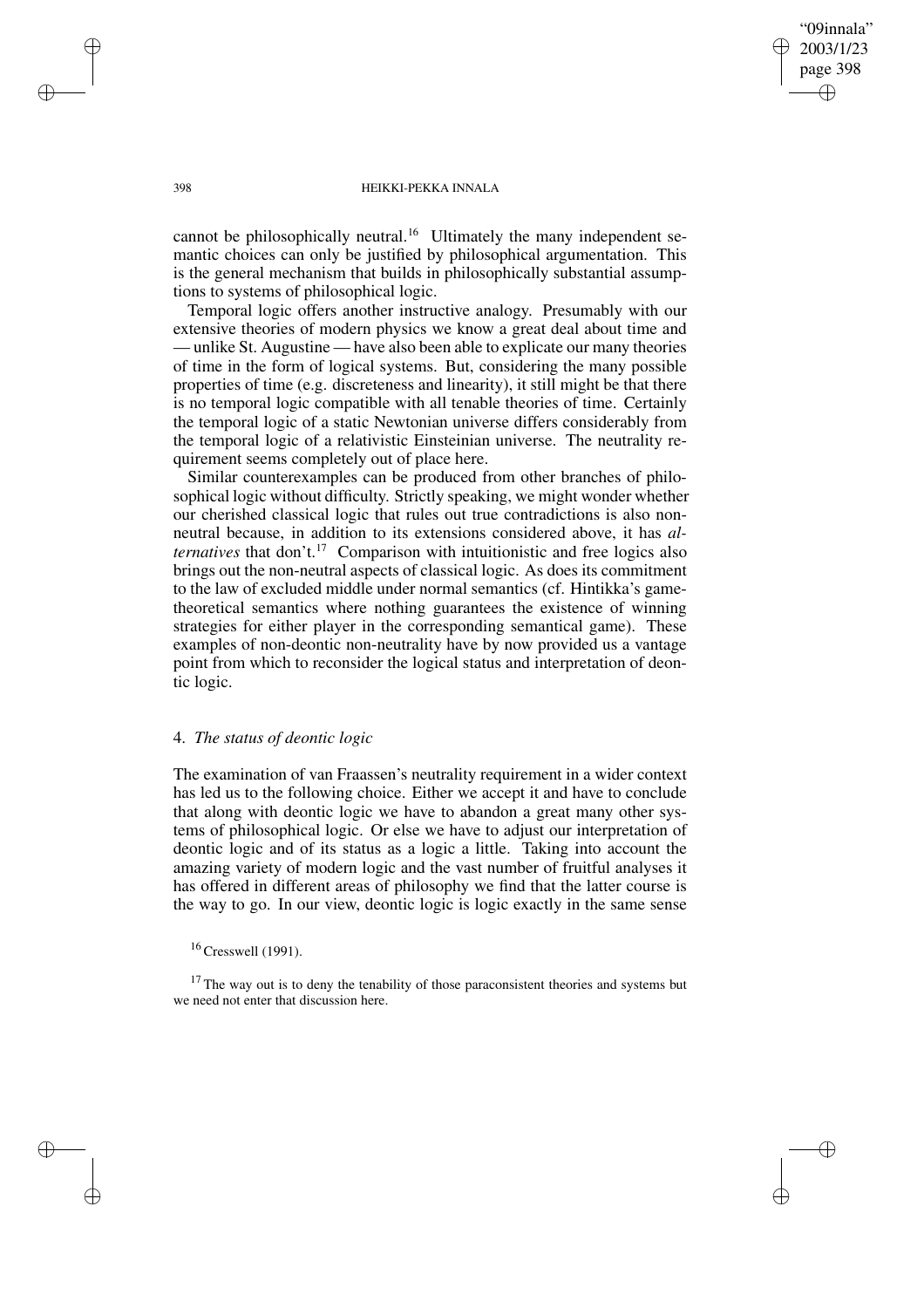"09innala" 2003/1/23 page 398 ✐ ✐

✐

✐

#### 398 HEIKKI-PEKKA INNALA

cannot be philosophically neutral.<sup>16</sup> Ultimately the many independent semantic choices can only be justified by philosophical argumentation. This is the general mechanism that builds in philosophically substantial assumptions to systems of philosophical logic.

Temporal logic offers another instructive analogy. Presumably with our extensive theories of modern physics we know a great deal about time and — unlike St. Augustine — have also been able to explicate our many theories of time in the form of logical systems. But, considering the many possible properties of time (e.g. discreteness and linearity), it still might be that there is no temporal logic compatible with all tenable theories of time. Certainly the temporal logic of a static Newtonian universe differs considerably from the temporal logic of a relativistic Einsteinian universe. The neutrality requirement seems completely out of place here.

Similar counterexamples can be produced from other branches of philosophical logic without difficulty. Strictly speaking, we might wonder whether our cherished classical logic that rules out true contradictions is also nonneutral because, in addition to its extensions considered above, it has *alternatives* that don't.<sup>17</sup> Comparison with intuitionistic and free logics also brings out the non-neutral aspects of classical logic. As does its commitment to the law of excluded middle under normal semantics (cf. Hintikka's gametheoretical semantics where nothing guarantees the existence of winning strategies for either player in the corresponding semantical game). These examples of non-deontic non-neutrality have by now provided us a vantage point from which to reconsider the logical status and interpretation of deontic logic.

## 4. *The status of deontic logic*

The examination of van Fraassen's neutrality requirement in a wider context has led us to the following choice. Either we accept it and have to conclude that along with deontic logic we have to abandon a great many other systems of philosophical logic. Or else we have to adjust our interpretation of deontic logic and of its status as a logic a little. Taking into account the amazing variety of modern logic and the vast number of fruitful analyses it has offered in different areas of philosophy we find that the latter course is the way to go. In our view, deontic logic is logic exactly in the same sense

✐

✐

✐

<sup>16</sup> Cresswell (1991).

 $17$  The way out is to deny the tenability of those paraconsistent theories and systems but we need not enter that discussion here.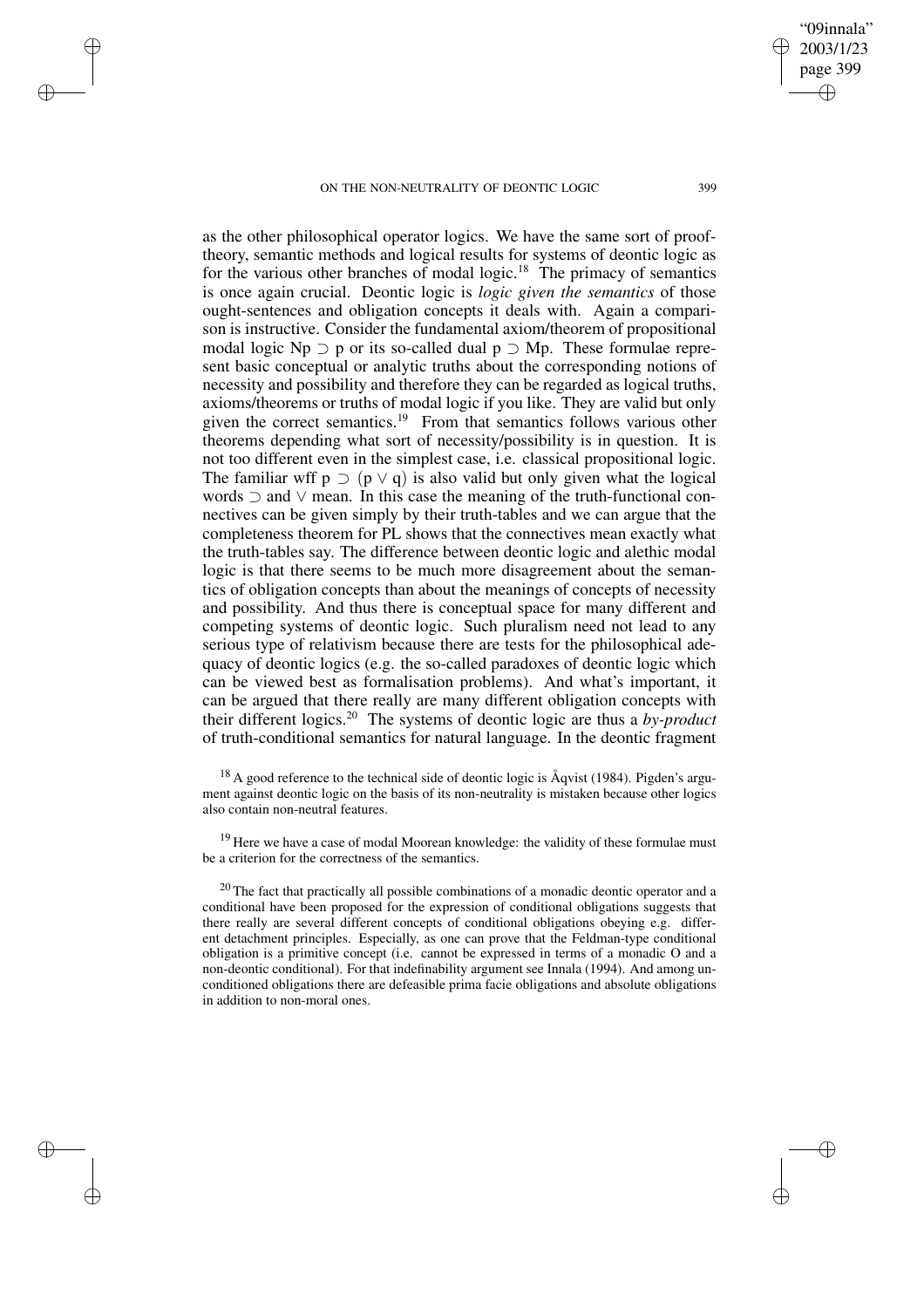✐

✐

✐

✐

as the other philosophical operator logics. We have the same sort of prooftheory, semantic methods and logical results for systems of deontic logic as for the various other branches of modal logic.<sup>18</sup> The primacy of semantics is once again crucial. Deontic logic is *logic given the semantics* of those ought-sentences and obligation concepts it deals with. Again a comparison is instructive. Consider the fundamental axiom/theorem of propositional modal logic Np  $\supset$  p or its so-called dual p  $\supset$  Mp. These formulae represent basic conceptual or analytic truths about the corresponding notions of necessity and possibility and therefore they can be regarded as logical truths, axioms/theorems or truths of modal logic if you like. They are valid but only given the correct semantics.<sup>19</sup> From that semantics follows various other theorems depending what sort of necessity/possibility is in question. It is not too different even in the simplest case, i.e. classical propositional logic. The familiar wff  $p \supset (p \vee q)$  is also valid but only given what the logical words ⊃ and ∨ mean. In this case the meaning of the truth-functional connectives can be given simply by their truth-tables and we can argue that the completeness theorem for PL shows that the connectives mean exactly what the truth-tables say. The difference between deontic logic and alethic modal logic is that there seems to be much more disagreement about the semantics of obligation concepts than about the meanings of concepts of necessity and possibility. And thus there is conceptual space for many different and competing systems of deontic logic. Such pluralism need not lead to any serious type of relativism because there are tests for the philosophical adequacy of deontic logics (e.g. the so-called paradoxes of deontic logic which can be viewed best as formalisation problems). And what's important, it can be argued that there really are many different obligation concepts with their different logics.<sup>20</sup> The systems of deontic logic are thus a *by-product* of truth-conditional semantics for natural language. In the deontic fragment

 $^{18}$  A good reference to the technical side of deontic logic is Åqvist (1984). Pigden's argument against deontic logic on the basis of its non-neutrality is mistaken because other logics also contain non-neutral features.

<sup>19</sup> Here we have a case of modal Moorean knowledge: the validity of these formulae must be a criterion for the correctness of the semantics.

 $20$  The fact that practically all possible combinations of a monadic deontic operator and a conditional have been proposed for the expression of conditional obligations suggests that there really are several different concepts of conditional obligations obeying e.g. different detachment principles. Especially, as one can prove that the Feldman-type conditional obligation is a primitive concept (i.e. cannot be expressed in terms of a monadic O and a non-deontic conditional). For that indefinability argument see Innala (1994). And among unconditioned obligations there are defeasible prima facie obligations and absolute obligations in addition to non-moral ones.

"09innala" 2003/1/23 page 399

✐

✐

✐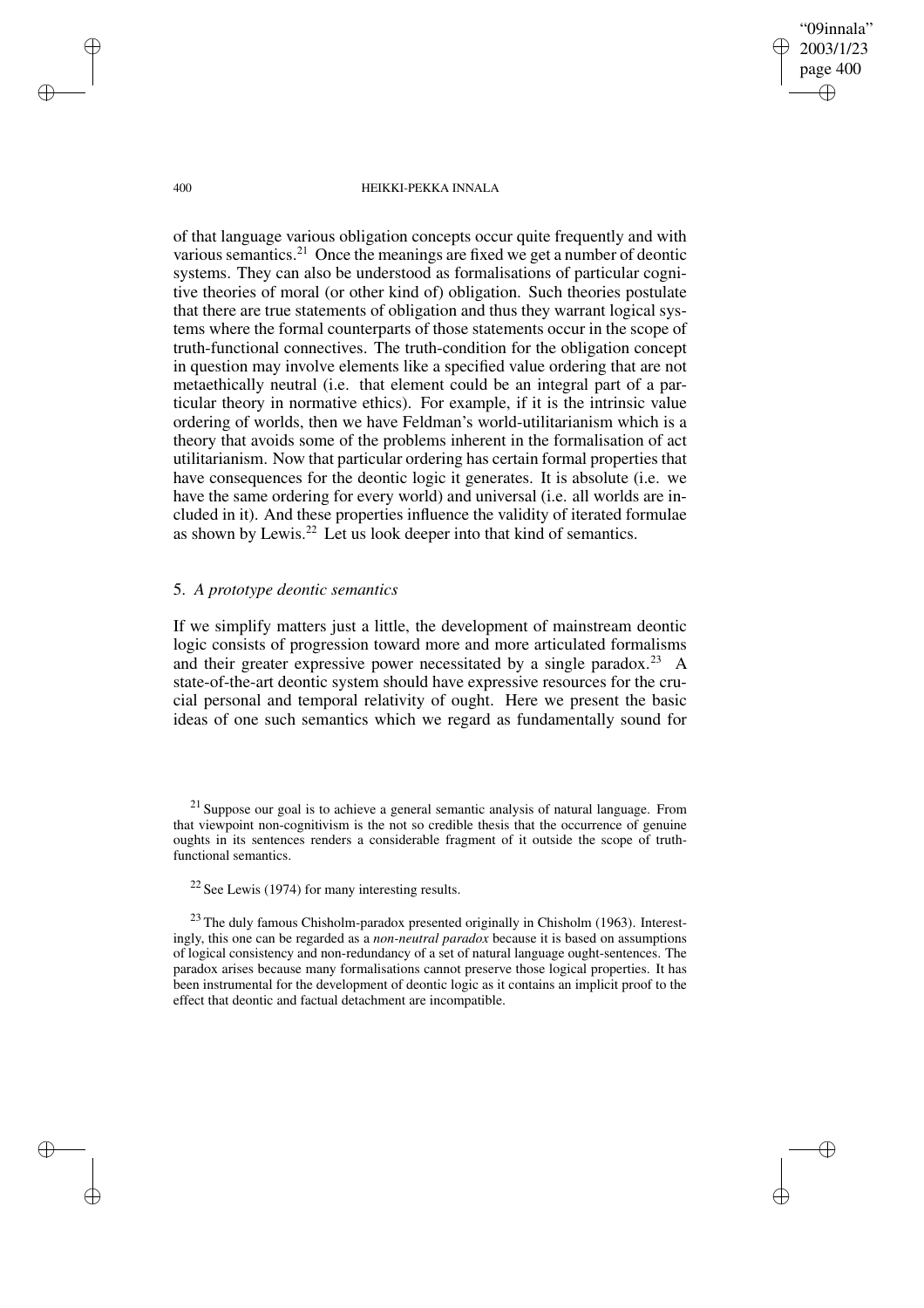"09innala" 2003/1/23 page 400 ✐ ✐

✐

✐

#### 400 HEIKKI-PEKKA INNALA

of that language various obligation concepts occur quite frequently and with various semantics.<sup>21</sup> Once the meanings are fixed we get a number of deontic systems. They can also be understood as formalisations of particular cognitive theories of moral (or other kind of) obligation. Such theories postulate that there are true statements of obligation and thus they warrant logical systems where the formal counterparts of those statements occur in the scope of truth-functional connectives. The truth-condition for the obligation concept in question may involve elements like a specified value ordering that are not metaethically neutral (i.e. that element could be an integral part of a particular theory in normative ethics). For example, if it is the intrinsic value ordering of worlds, then we have Feldman's world-utilitarianism which is a theory that avoids some of the problems inherent in the formalisation of act utilitarianism. Now that particular ordering has certain formal properties that have consequences for the deontic logic it generates. It is absolute (i.e. we have the same ordering for every world) and universal (i.e. all worlds are included in it). And these properties influence the validity of iterated formulae as shown by Lewis.<sup>22</sup> Let us look deeper into that kind of semantics.

## 5. *A prototype deontic semantics*

If we simplify matters just a little, the development of mainstream deontic logic consists of progression toward more and more articulated formalisms and their greater expressive power necessitated by a single paradox.<sup>23</sup> A state-of-the-art deontic system should have expressive resources for the crucial personal and temporal relativity of ought. Here we present the basic ideas of one such semantics which we regard as fundamentally sound for

✐

✐

✐

 $21$  Suppose our goal is to achieve a general semantic analysis of natural language. From that viewpoint non-cognitivism is the not so credible thesis that the occurrence of genuine oughts in its sentences renders a considerable fragment of it outside the scope of truthfunctional semantics.

 $22$  See Lewis (1974) for many interesting results.

 $23$  The duly famous Chisholm-paradox presented originally in Chisholm (1963). Interestingly, this one can be regarded as a *non-neutral paradox* because it is based on assumptions of logical consistency and non-redundancy of a set of natural language ought-sentences. The paradox arises because many formalisations cannot preserve those logical properties. It has been instrumental for the development of deontic logic as it contains an implicit proof to the effect that deontic and factual detachment are incompatible.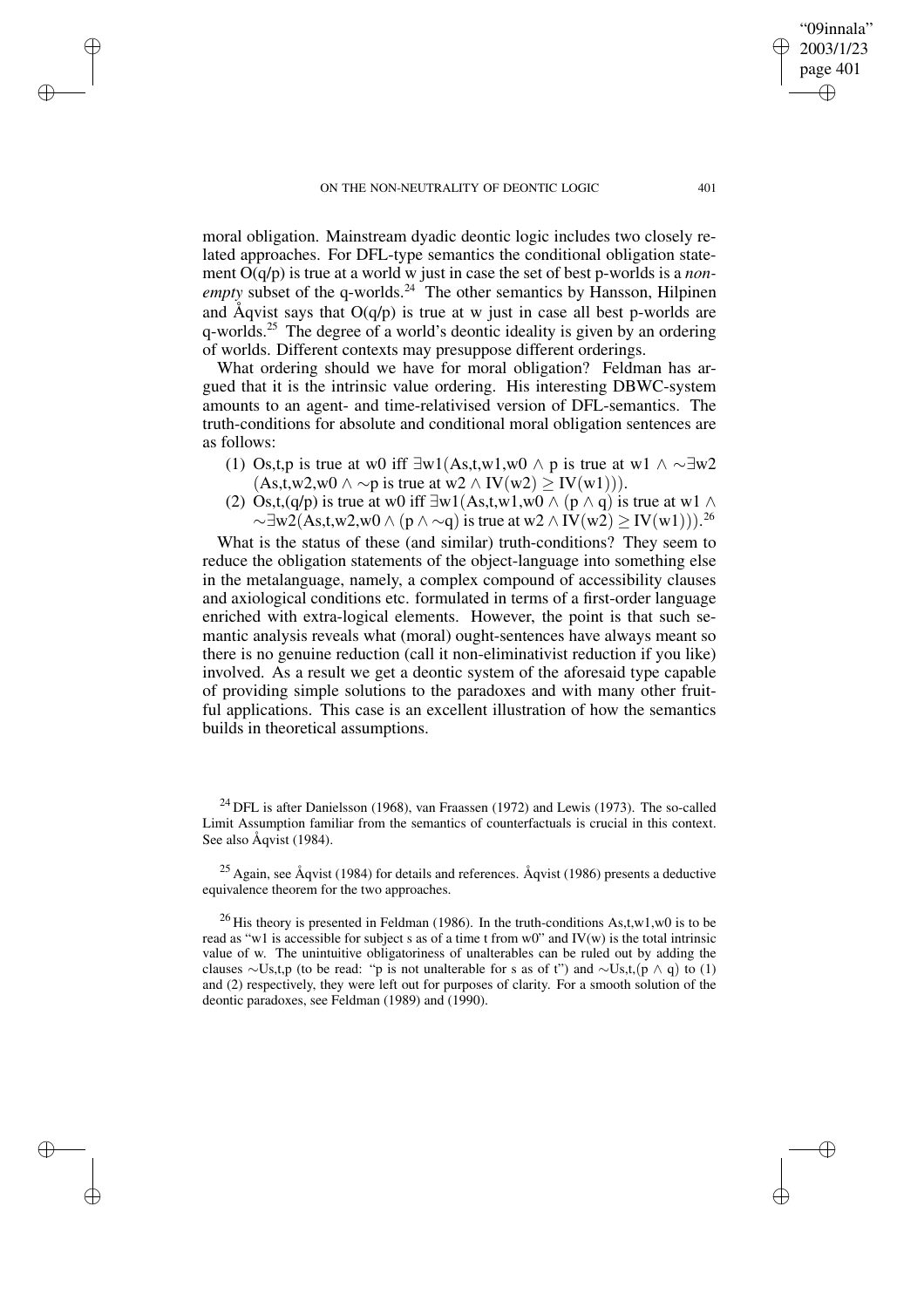✐

✐

✐

✐

moral obligation. Mainstream dyadic deontic logic includes two closely related approaches. For DFL-type semantics the conditional obligation statement O(q/p) is true at a world w just in case the set of best p-worlds is a *nonempty* subset of the q-worlds.<sup>24</sup> The other semantics by Hansson, Hilpinen and Åqvist says that  $O(q/p)$  is true at w just in case all best p-worlds are q-worlds.<sup>25</sup> The degree of a world's deontic ideality is given by an ordering of worlds. Different contexts may presuppose different orderings.

What ordering should we have for moral obligation? Feldman has argued that it is the intrinsic value ordering. His interesting DBWC-system amounts to an agent- and time-relativised version of DFL-semantics. The truth-conditions for absolute and conditional moral obligation sentences are as follows:

- (1) Os,t,p is true at w0 iff  $\exists w1(As,t,w1,w0 \land p$  is true at w1  $\land \sim \exists w2$  $(As, t, w2, w0 \wedge \neg p \text{ is true at } w2 \wedge IV(w2) > IV(w1))$ .
- (2) Os,t,(q/p) is true at w0 iff  $\exists w1(As,t,w1,w0 \wedge (p \wedge q))$  is true at w1  $\wedge$  $\sim \exists w 2(As,t,w2,w0 \wedge (p \wedge \sim q))$  is true at  $w2 \wedge IV(w2) \geq IV(w1))$ .<sup>26</sup>

What is the status of these (and similar) truth-conditions? They seem to reduce the obligation statements of the object-language into something else in the metalanguage, namely, a complex compound of accessibility clauses and axiological conditions etc. formulated in terms of a first-order language enriched with extra-logical elements. However, the point is that such semantic analysis reveals what (moral) ought-sentences have always meant so there is no genuine reduction (call it non-eliminativist reduction if you like) involved. As a result we get a deontic system of the aforesaid type capable of providing simple solutions to the paradoxes and with many other fruitful applications. This case is an excellent illustration of how the semantics builds in theoretical assumptions.

<sup>24</sup> DFL is after Danielsson (1968), van Fraassen (1972) and Lewis (1973). The so-called Limit Assumption familiar from the semantics of counterfactuals is crucial in this context. See also Åqvist (1984).

 $25$  Again, see Åqvist (1984) for details and references. Åqvist (1986) presents a deductive equivalence theorem for the two approaches.

<sup>26</sup> His theory is presented in Feldman (1986). In the truth-conditions As,t,w1,w0 is to be read as "w1 is accessible for subject s as of a time t from w0" and  $IV(w)$  is the total intrinsic value of w. The unintuitive obligatoriness of unalterables can be ruled out by adding the clauses ∼Us,t,p (to be read: "p is not unalterable for s as of t") and  $\sim U$ s,t, $(p \land q)$  to (1) and (2) respectively, they were left out for purposes of clarity. For a smooth solution of the deontic paradoxes, see Feldman (1989) and (1990).

"09innala" 2003/1/23 page 401

✐

✐

✐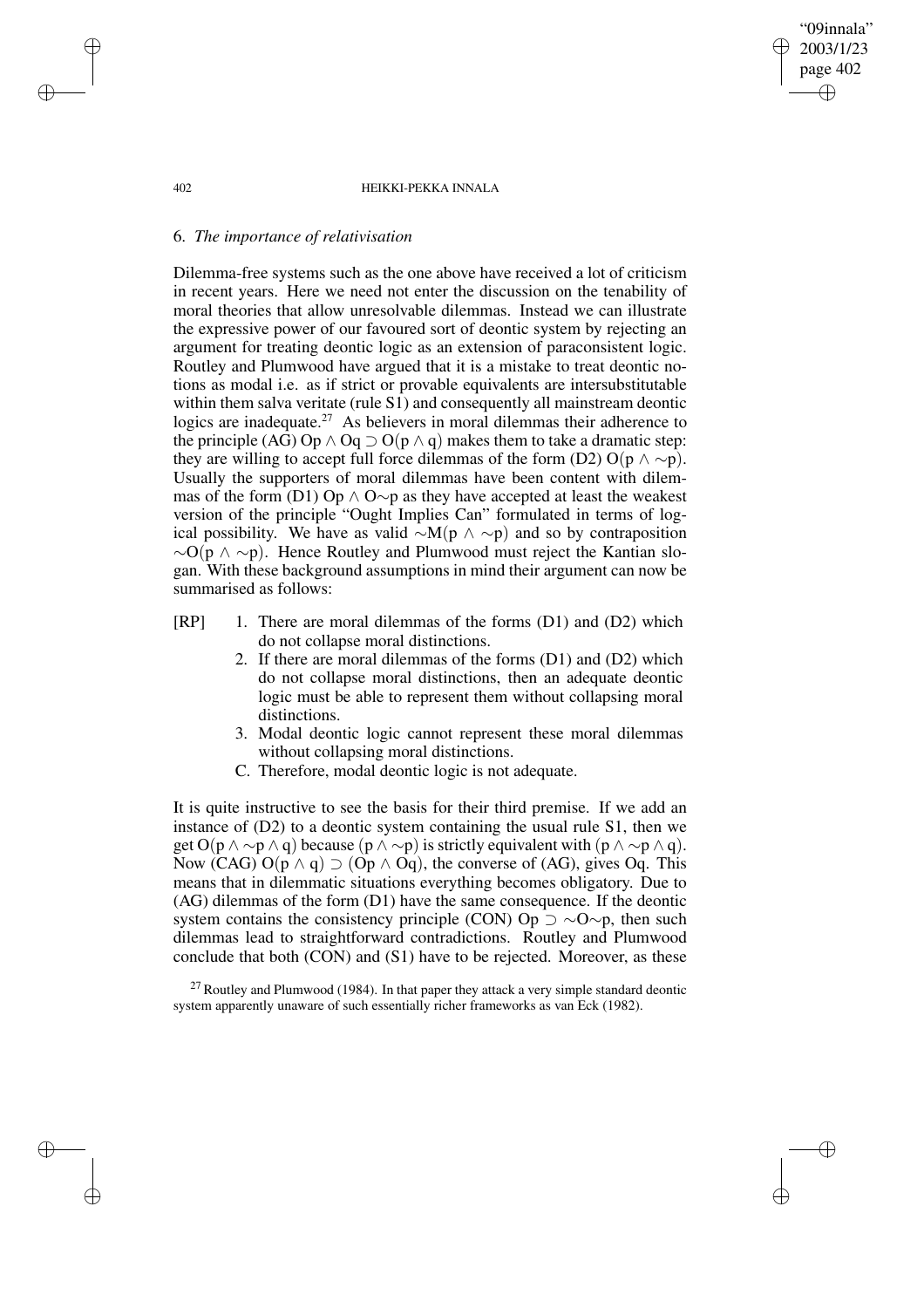"09innala" 2003/1/23 page 402 ✐ ✐

✐

✐

#### 402 HEIKKI-PEKKA INNALA

### 6. *The importance of relativisation*

Dilemma-free systems such as the one above have received a lot of criticism in recent years. Here we need not enter the discussion on the tenability of moral theories that allow unresolvable dilemmas. Instead we can illustrate the expressive power of our favoured sort of deontic system by rejecting an argument for treating deontic logic as an extension of paraconsistent logic. Routley and Plumwood have argued that it is a mistake to treat deontic notions as modal i.e. as if strict or provable equivalents are intersubstitutable within them salva veritate (rule S1) and consequently all mainstream deontic logics are inadequate.<sup>27</sup> As believers in moral dilemmas their adherence to the principle (AG) Op  $\land$  Oq  $\supset$  O(p  $\land$  q) makes them to take a dramatic step: they are willing to accept full force dilemmas of the form (D2) O(p  $\land \sim p$ ). Usually the supporters of moral dilemmas have been content with dilemmas of the form (D1) Op  $\land$  O∼p as they have accepted at least the weakest version of the principle "Ought Implies Can" formulated in terms of logical possibility. We have as valid  $\sim M(p \land \sim p)$  and so by contraposition  $\sim O(p \land \sim p)$ . Hence Routley and Plumwood must reject the Kantian slogan. With these background assumptions in mind their argument can now be summarised as follows:

- [RP] 1. There are moral dilemmas of the forms (D1) and (D2) which do not collapse moral distinctions.
	- 2. If there are moral dilemmas of the forms (D1) and (D2) which do not collapse moral distinctions, then an adequate deontic logic must be able to represent them without collapsing moral distinctions.
	- 3. Modal deontic logic cannot represent these moral dilemmas without collapsing moral distinctions.
	- C. Therefore, modal deontic logic is not adequate.

It is quite instructive to see the basis for their third premise. If we add an instance of (D2) to a deontic system containing the usual rule S1, then we get O(p  $\wedge \sim p \wedge q$ ) because (p  $\wedge \sim p$ ) is strictly equivalent with (p  $\wedge \sim p \wedge q$ ). Now (CAG) O( $p \wedge q$ )  $\supset$  (O $p \wedge$  Oq), the converse of (AG), gives Oq. This means that in dilemmatic situations everything becomes obligatory. Due to (AG) dilemmas of the form (D1) have the same consequence. If the deontic system contains the consistency principle (CON) Op  $\supset \sim O \sim p$ , then such dilemmas lead to straightforward contradictions. Routley and Plumwood conclude that both (CON) and (S1) have to be rejected. Moreover, as these

 $^{27}$  Routley and Plumwood (1984). In that paper they attack a very simple standard deontic system apparently unaware of such essentially richer frameworks as van Eck (1982).

✐

✐

✐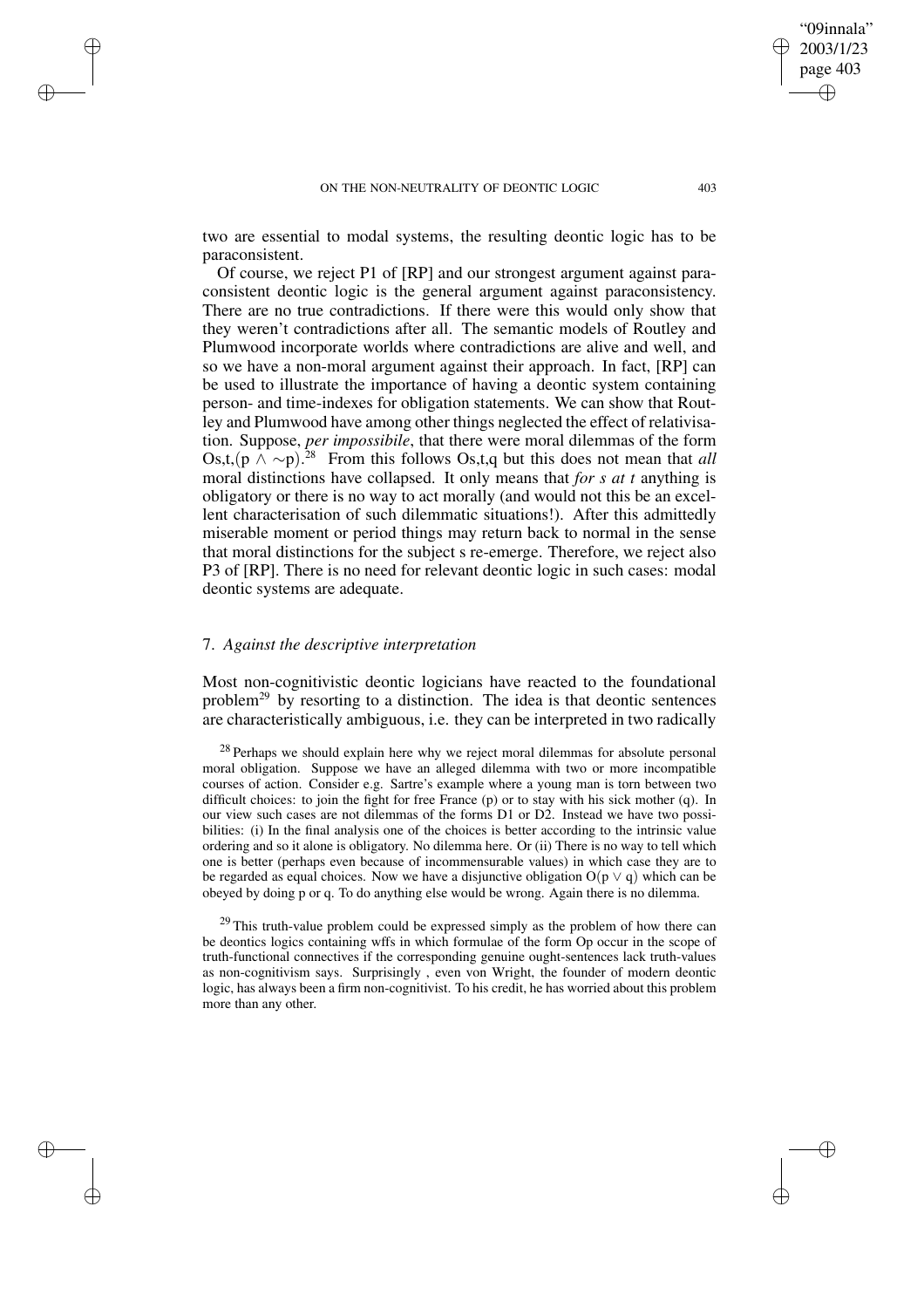two are essential to modal systems, the resulting deontic logic has to be paraconsistent.

Of course, we reject P1 of [RP] and our strongest argument against paraconsistent deontic logic is the general argument against paraconsistency. There are no true contradictions. If there were this would only show that they weren't contradictions after all. The semantic models of Routley and Plumwood incorporate worlds where contradictions are alive and well, and so we have a non-moral argument against their approach. In fact, [RP] can be used to illustrate the importance of having a deontic system containing person- and time-indexes for obligation statements. We can show that Routley and Plumwood have among other things neglected the effect of relativisation. Suppose, *per impossibile*, that there were moral dilemmas of the form Os,t,(p ∧ ∼p). <sup>28</sup> From this follows Os,t,q but this does not mean that *all* moral distinctions have collapsed. It only means that *for s at t* anything is obligatory or there is no way to act morally (and would not this be an excellent characterisation of such dilemmatic situations!). After this admittedly miserable moment or period things may return back to normal in the sense that moral distinctions for the subject s re-emerge. Therefore, we reject also P3 of [RP]. There is no need for relevant deontic logic in such cases: modal deontic systems are adequate.

### 7. *Against the descriptive interpretation*

✐

✐

✐

✐

Most non-cognitivistic deontic logicians have reacted to the foundational problem<sup>29</sup> by resorting to a distinction. The idea is that deontic sentences are characteristically ambiguous, i.e. they can be interpreted in two radically

<sup>28</sup> Perhaps we should explain here why we reject moral dilemmas for absolute personal moral obligation. Suppose we have an alleged dilemma with two or more incompatible courses of action. Consider e.g. Sartre's example where a young man is torn between two difficult choices: to join the fight for free France (p) or to stay with his sick mother (q). In our view such cases are not dilemmas of the forms D1 or D2. Instead we have two possibilities: (i) In the final analysis one of the choices is better according to the intrinsic value ordering and so it alone is obligatory. No dilemma here. Or (ii) There is no way to tell which one is better (perhaps even because of incommensurable values) in which case they are to be regarded as equal choices. Now we have a disjunctive obligation  $O(p \vee q)$  which can be obeyed by doing p or q. To do anything else would be wrong. Again there is no dilemma.

<sup>29</sup> This truth-value problem could be expressed simply as the problem of how there can be deontics logics containing wffs in which formulae of the form Op occur in the scope of truth-functional connectives if the corresponding genuine ought-sentences lack truth-values as non-cognitivism says. Surprisingly , even von Wright, the founder of modern deontic logic, has always been a firm non-cognitivist. To his credit, he has worried about this problem more than any other.

"09innala" 2003/1/23 page 403

✐

✐

✐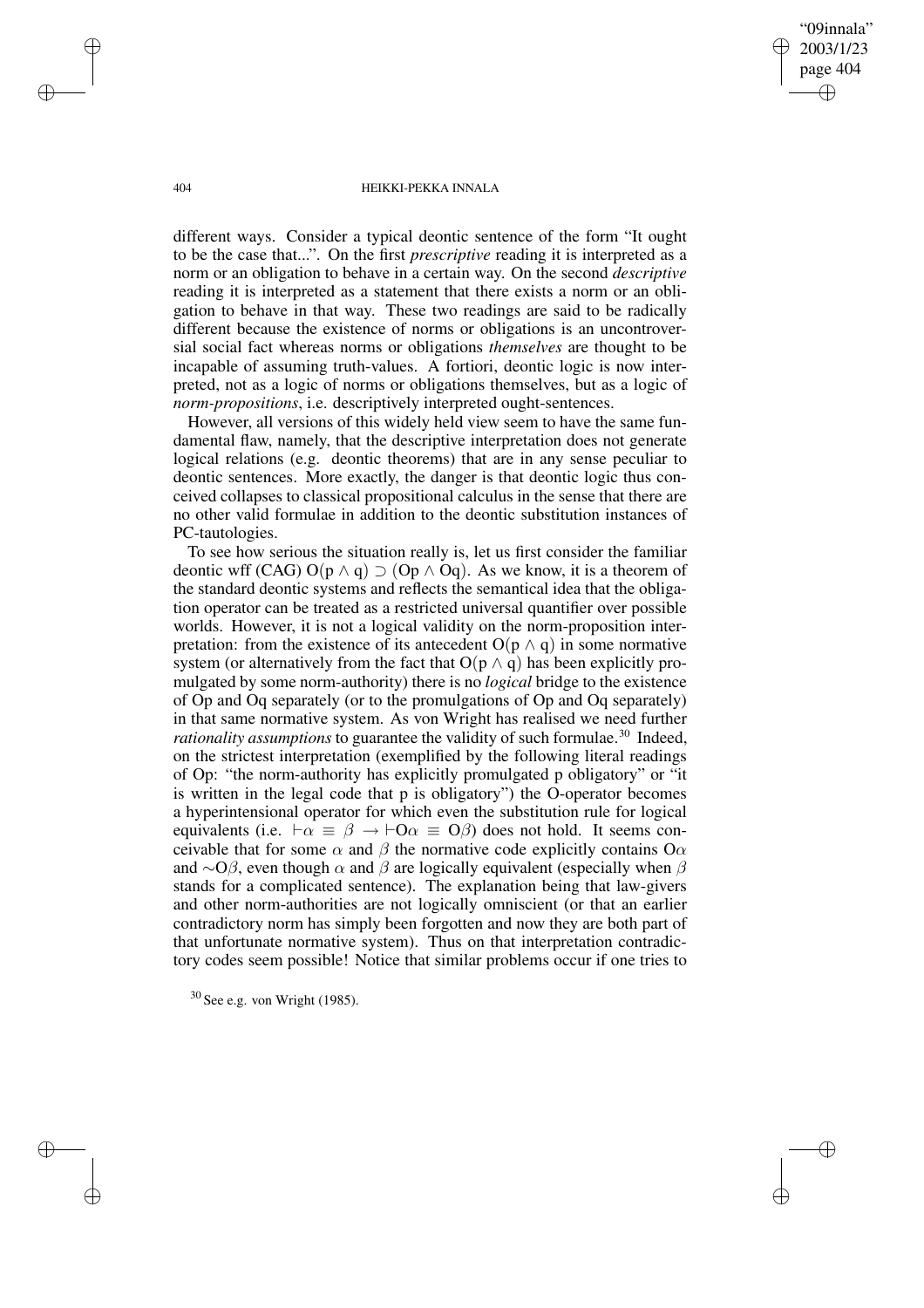"09innala" 2003/1/23 page 404 ✐ ✐

✐

✐

#### 404 HEIKKI-PEKKA INNALA

different ways. Consider a typical deontic sentence of the form "It ought to be the case that...". On the first *prescriptive* reading it is interpreted as a norm or an obligation to behave in a certain way. On the second *descriptive* reading it is interpreted as a statement that there exists a norm or an obligation to behave in that way. These two readings are said to be radically different because the existence of norms or obligations is an uncontroversial social fact whereas norms or obligations *themselves* are thought to be incapable of assuming truth-values. A fortiori, deontic logic is now interpreted, not as a logic of norms or obligations themselves, but as a logic of *norm-propositions*, i.e. descriptively interpreted ought-sentences.

However, all versions of this widely held view seem to have the same fundamental flaw, namely, that the descriptive interpretation does not generate logical relations (e.g. deontic theorems) that are in any sense peculiar to deontic sentences. More exactly, the danger is that deontic logic thus conceived collapses to classical propositional calculus in the sense that there are no other valid formulae in addition to the deontic substitution instances of PC-tautologies.

To see how serious the situation really is, let us first consider the familiar deontic wff (CAG)  $O(p \wedge q) \supset (Op \wedge Oq)$ . As we know, it is a theorem of the standard deontic systems and reflects the semantical idea that the obligation operator can be treated as a restricted universal quantifier over possible worlds. However, it is not a logical validity on the norm-proposition interpretation: from the existence of its antecedent  $O(p \wedge q)$  in some normative system (or alternatively from the fact that  $O(p \wedge q)$  has been explicitly promulgated by some norm-authority) there is no *logical* bridge to the existence of Op and Oq separately (or to the promulgations of Op and Oq separately) in that same normative system. As von Wright has realised we need further *rationality assumptions* to guarantee the validity of such formulae.<sup>30</sup> Indeed, on the strictest interpretation (exemplified by the following literal readings of Op: "the norm-authority has explicitly promulgated p obligatory" or "it is written in the legal code that p is obligatory") the O-operator becomes a hyperintensional operator for which even the substitution rule for logical equivalents (i.e.  $\vdash \alpha \equiv \beta \rightarrow \vdash O\alpha \equiv O\beta$ ) does not hold. It seems conceivable that for some  $\alpha$  and  $\beta$  the normative code explicitly contains O $\alpha$ and  $\sim$ O $\beta$ , even though  $\alpha$  and  $\beta$  are logically equivalent (especially when  $\beta$ stands for a complicated sentence). The explanation being that law-givers and other norm-authorities are not logically omniscient (or that an earlier contradictory norm has simply been forgotten and now they are both part of that unfortunate normative system). Thus on that interpretation contradictory codes seem possible! Notice that similar problems occur if one tries to

✐

✐

✐

 $30$  See e.g. von Wright (1985).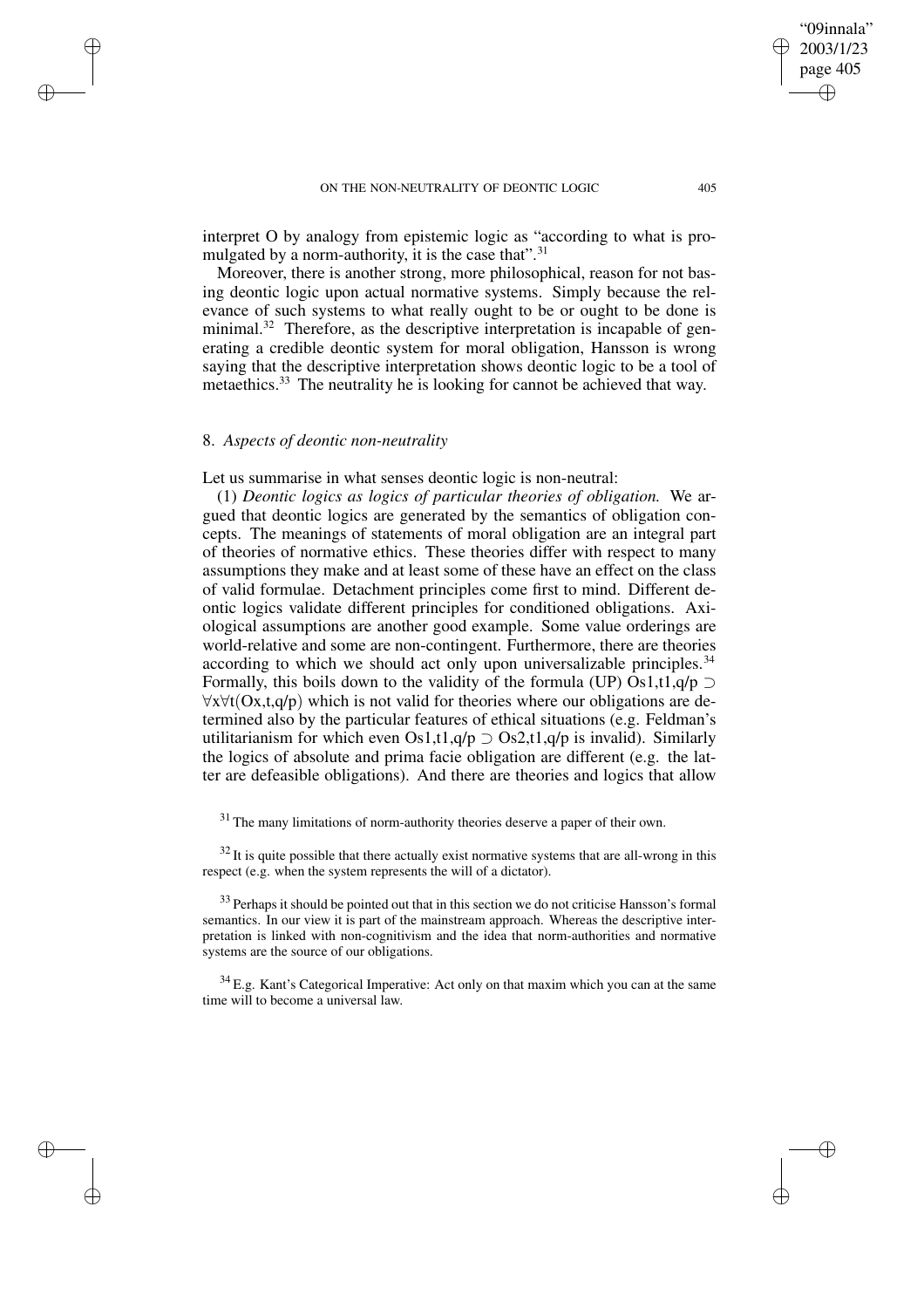interpret O by analogy from epistemic logic as "according to what is promulgated by a norm-authority, it is the case that". $31$ 

Moreover, there is another strong, more philosophical, reason for not basing deontic logic upon actual normative systems. Simply because the relevance of such systems to what really ought to be or ought to be done is minimal.<sup>32</sup> Therefore, as the descriptive interpretation is incapable of generating a credible deontic system for moral obligation, Hansson is wrong saying that the descriptive interpretation shows deontic logic to be a tool of metaethics.<sup>33</sup> The neutrality he is looking for cannot be achieved that way.

## 8. *Aspects of deontic non-neutrality*

✐

✐

✐

✐

Let us summarise in what senses deontic logic is non-neutral:

(1) *Deontic logics as logics of particular theories of obligation.* We argued that deontic logics are generated by the semantics of obligation concepts. The meanings of statements of moral obligation are an integral part of theories of normative ethics. These theories differ with respect to many assumptions they make and at least some of these have an effect on the class of valid formulae. Detachment principles come first to mind. Different deontic logics validate different principles for conditioned obligations. Axiological assumptions are another good example. Some value orderings are world-relative and some are non-contingent. Furthermore, there are theories according to which we should act only upon universalizable principles.<sup>34</sup> Formally, this boils down to the validity of the formula (UP) Os1,t1,q/p  $\supset$ ∀x∀t(Ox,t,q/p) which is not valid for theories where our obligations are determined also by the particular features of ethical situations (e.g. Feldman's utilitarianism for which even Os1,t1,q/p  $\supset$  Os2,t1,q/p is invalid). Similarly the logics of absolute and prima facie obligation are different (e.g. the latter are defeasible obligations). And there are theories and logics that allow

<sup>31</sup> The many limitations of norm-authority theories deserve a paper of their own.

 $32$  It is quite possible that there actually exist normative systems that are all-wrong in this respect (e.g. when the system represents the will of a dictator).

<sup>33</sup> Perhaps it should be pointed out that in this section we do not criticise Hansson's formal semantics. In our view it is part of the mainstream approach. Whereas the descriptive interpretation is linked with non-cognitivism and the idea that norm-authorities and normative systems are the source of our obligations.

<sup>34</sup> E.g. Kant's Categorical Imperative: Act only on that maxim which you can at the same time will to become a universal law.

"09innala" 2003/1/23 page 405

✐

✐

✐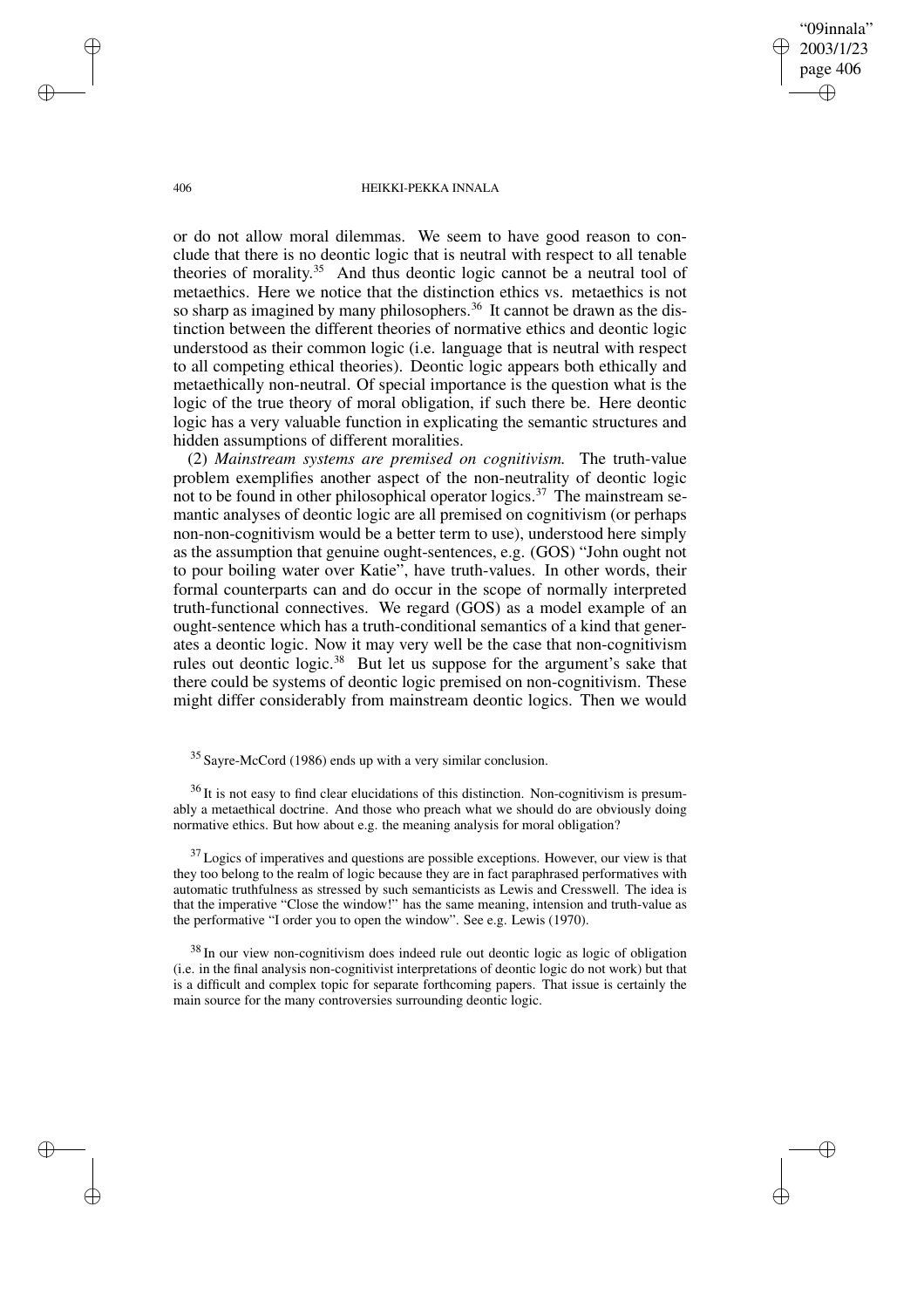"09innala" 2003/1/23 page 406 ✐ ✐

✐

✐

#### 406 HEIKKI-PEKKA INNALA

or do not allow moral dilemmas. We seem to have good reason to conclude that there is no deontic logic that is neutral with respect to all tenable theories of morality. $35$  And thus deontic logic cannot be a neutral tool of metaethics. Here we notice that the distinction ethics vs. metaethics is not so sharp as imagined by many philosophers.<sup>36</sup> It cannot be drawn as the distinction between the different theories of normative ethics and deontic logic understood as their common logic (i.e. language that is neutral with respect to all competing ethical theories). Deontic logic appears both ethically and metaethically non-neutral. Of special importance is the question what is the logic of the true theory of moral obligation, if such there be. Here deontic logic has a very valuable function in explicating the semantic structures and hidden assumptions of different moralities.

(2) *Mainstream systems are premised on cognitivism.* The truth-value problem exemplifies another aspect of the non-neutrality of deontic logic not to be found in other philosophical operator logics.<sup>37</sup> The mainstream semantic analyses of deontic logic are all premised on cognitivism (or perhaps non-non-cognitivism would be a better term to use), understood here simply as the assumption that genuine ought-sentences, e.g. (GOS) "John ought not to pour boiling water over Katie", have truth-values. In other words, their formal counterparts can and do occur in the scope of normally interpreted truth-functional connectives. We regard (GOS) as a model example of an ought-sentence which has a truth-conditional semantics of a kind that generates a deontic logic. Now it may very well be the case that non-cognitivism rules out deontic logic.<sup>38</sup> But let us suppose for the argument's sake that there could be systems of deontic logic premised on non-cognitivism. These might differ considerably from mainstream deontic logics. Then we would

 $36$  It is not easy to find clear elucidations of this distinction. Non-cognitivism is presumably a metaethical doctrine. And those who preach what we should do are obviously doing normative ethics. But how about e.g. the meaning analysis for moral obligation?

 $37$  Logics of imperatives and questions are possible exceptions. However, our view is that they too belong to the realm of logic because they are in fact paraphrased performatives with automatic truthfulness as stressed by such semanticists as Lewis and Cresswell. The idea is that the imperative "Close the window!" has the same meaning, intension and truth-value as the performative "I order you to open the window". See e.g. Lewis (1970).

<sup>38</sup> In our view non-cognitivism does indeed rule out deontic logic as logic of obligation (i.e. in the final analysis non-cognitivist interpretations of deontic logic do not work) but that is a difficult and complex topic for separate forthcoming papers. That issue is certainly the main source for the many controversies surrounding deontic logic.

✐

✐

✐

<sup>35</sup> Sayre-McCord (1986) ends up with a very similar conclusion.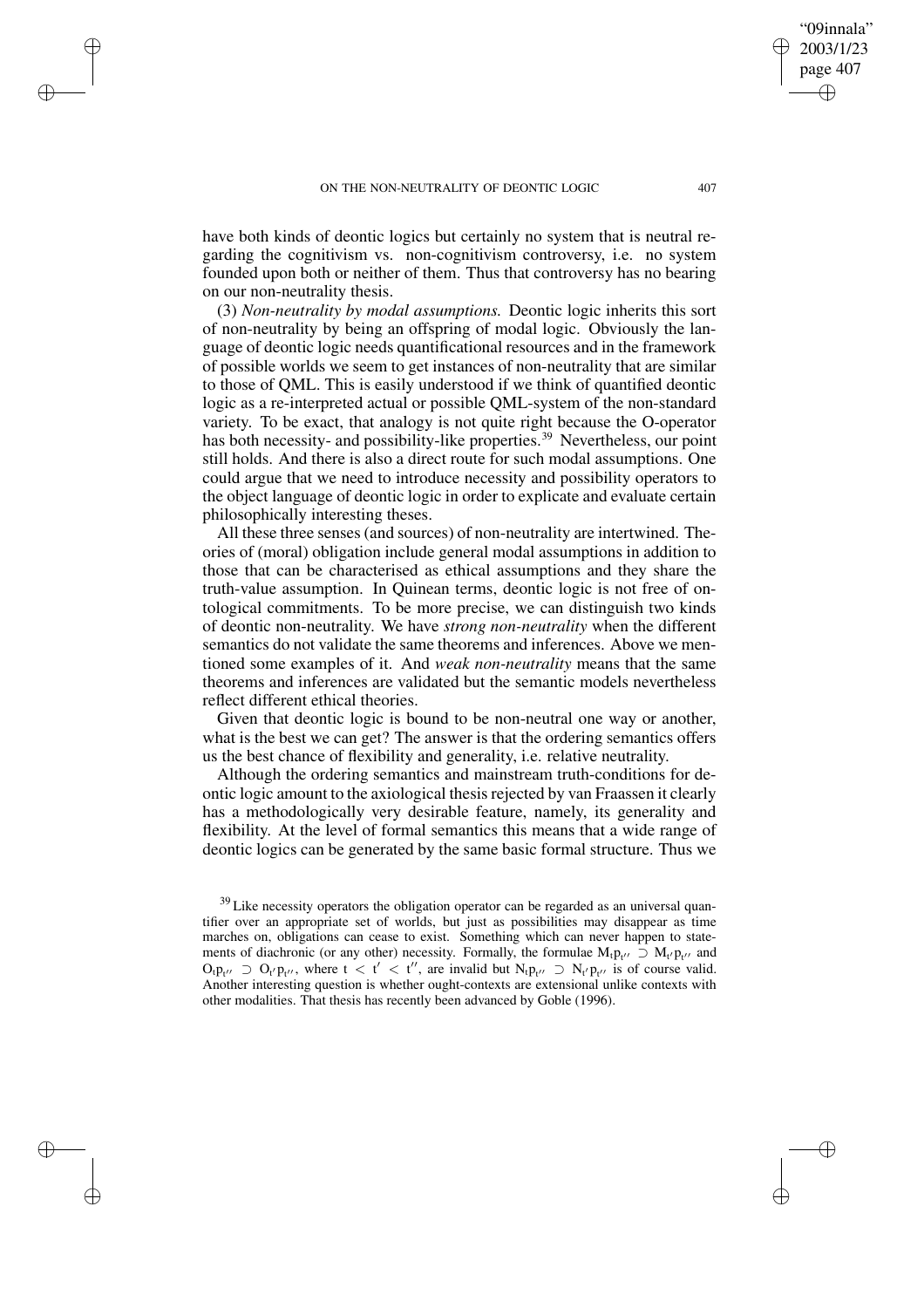✐

✐

✐

✐

have both kinds of deontic logics but certainly no system that is neutral regarding the cognitivism vs. non-cognitivism controversy, i.e. no system founded upon both or neither of them. Thus that controversy has no bearing on our non-neutrality thesis.

(3) *Non-neutrality by modal assumptions.* Deontic logic inherits this sort of non-neutrality by being an offspring of modal logic. Obviously the language of deontic logic needs quantificational resources and in the framework of possible worlds we seem to get instances of non-neutrality that are similar to those of QML. This is easily understood if we think of quantified deontic logic as a re-interpreted actual or possible QML-system of the non-standard variety. To be exact, that analogy is not quite right because the O-operator has both necessity- and possibility-like properties.<sup>39</sup> Nevertheless, our point still holds. And there is also a direct route for such modal assumptions. One could argue that we need to introduce necessity and possibility operators to the object language of deontic logic in order to explicate and evaluate certain philosophically interesting theses.

All these three senses (and sources) of non-neutrality are intertwined. Theories of (moral) obligation include general modal assumptions in addition to those that can be characterised as ethical assumptions and they share the truth-value assumption. In Quinean terms, deontic logic is not free of ontological commitments. To be more precise, we can distinguish two kinds of deontic non-neutrality. We have *strong non-neutrality* when the different semantics do not validate the same theorems and inferences. Above we mentioned some examples of it. And *weak non-neutrality* means that the same theorems and inferences are validated but the semantic models nevertheless reflect different ethical theories.

Given that deontic logic is bound to be non-neutral one way or another, what is the best we can get? The answer is that the ordering semantics offers us the best chance of flexibility and generality, i.e. relative neutrality.

Although the ordering semantics and mainstream truth-conditions for deontic logic amount to the axiological thesisrejected by van Fraassen it clearly has a methodologically very desirable feature, namely, its generality and flexibility. At the level of formal semantics this means that a wide range of deontic logics can be generated by the same basic formal structure. Thus we

"09innala" 2003/1/23 page 407

✐

✐

✐

<sup>&</sup>lt;sup>39</sup> Like necessity operators the obligation operator can be regarded as an universal quantifier over an appropriate set of worlds, but just as possibilities may disappear as time marches on, obligations can cease to exist. Something which can never happen to statements of diachronic (or any other) necessity. Formally, the formulae  $M_t p_{t''} \supset M_{t'} p_{t''}$  and  $O_{t}p_{t''} \supset O_{t'}p_{t''}$ , where  $t < t' < t''$ , are invalid but  $N_{t}p_{t''} \supset N_{t'}p_{t''}$  is of course valid. Another interesting question is whether ought-contexts are extensional unlike contexts with other modalities. That thesis has recently been advanced by Goble (1996).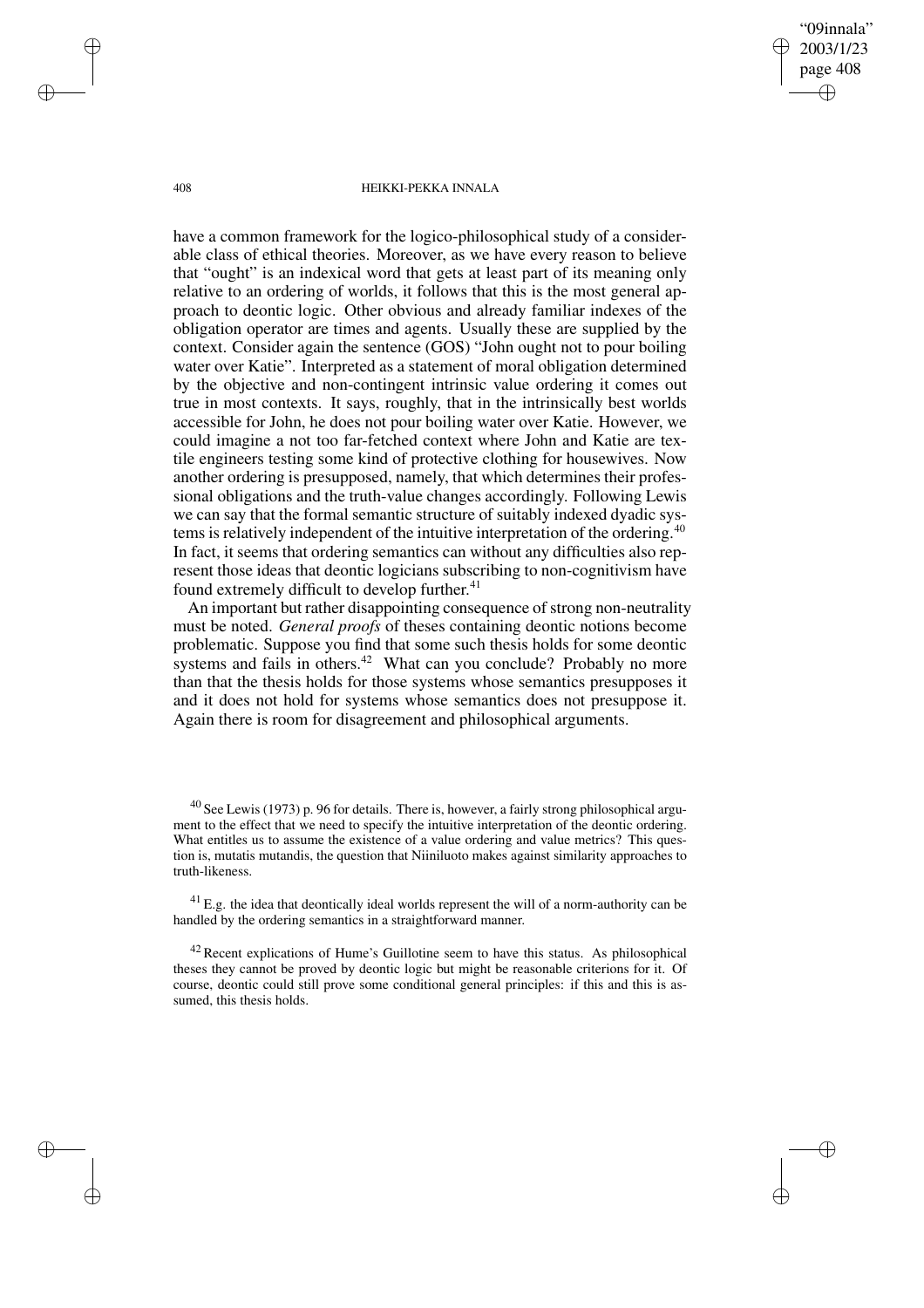"09innala" 2003/1/23 page 408 ✐ ✐

✐

✐

#### 408 HEIKKI-PEKKA INNALA

have a common framework for the logico-philosophical study of a considerable class of ethical theories. Moreover, as we have every reason to believe that "ought" is an indexical word that gets at least part of its meaning only relative to an ordering of worlds, it follows that this is the most general approach to deontic logic. Other obvious and already familiar indexes of the obligation operator are times and agents. Usually these are supplied by the context. Consider again the sentence (GOS) "John ought not to pour boiling water over Katie". Interpreted as a statement of moral obligation determined by the objective and non-contingent intrinsic value ordering it comes out true in most contexts. It says, roughly, that in the intrinsically best worlds accessible for John, he does not pour boiling water over Katie. However, we could imagine a not too far-fetched context where John and Katie are textile engineers testing some kind of protective clothing for housewives. Now another ordering is presupposed, namely, that which determines their professional obligations and the truth-value changes accordingly. Following Lewis we can say that the formal semantic structure of suitably indexed dyadic systems is relatively independent of the intuitive interpretation of the ordering.<sup>40</sup> In fact, it seems that ordering semantics can without any difficulties also represent those ideas that deontic logicians subscribing to non-cognitivism have found extremely difficult to develop further.<sup>41</sup>

An important but rather disappointing consequence of strong non-neutrality must be noted. *General proofs* of theses containing deontic notions become problematic. Suppose you find that some such thesis holds for some deontic systems and fails in others.<sup>42</sup> What can you conclude? Probably no more than that the thesis holds for those systems whose semantics presupposes it and it does not hold for systems whose semantics does not presuppose it. Again there is room for disagreement and philosophical arguments.

✐

✐

✐

<sup>40</sup> See Lewis (1973) p. 96 for details. There is, however, a fairly strong philosophical argument to the effect that we need to specify the intuitive interpretation of the deontic ordering. What entitles us to assume the existence of a value ordering and value metrics? This question is, mutatis mutandis, the question that Niiniluoto makes against similarity approaches to truth-likeness.

 $^{41}$  E.g. the idea that deontically ideal worlds represent the will of a norm-authority can be handled by the ordering semantics in a straightforward manner.

 $42$  Recent explications of Hume's Guillotine seem to have this status. As philosophical theses they cannot be proved by deontic logic but might be reasonable criterions for it. Of course, deontic could still prove some conditional general principles: if this and this is assumed, this thesis holds.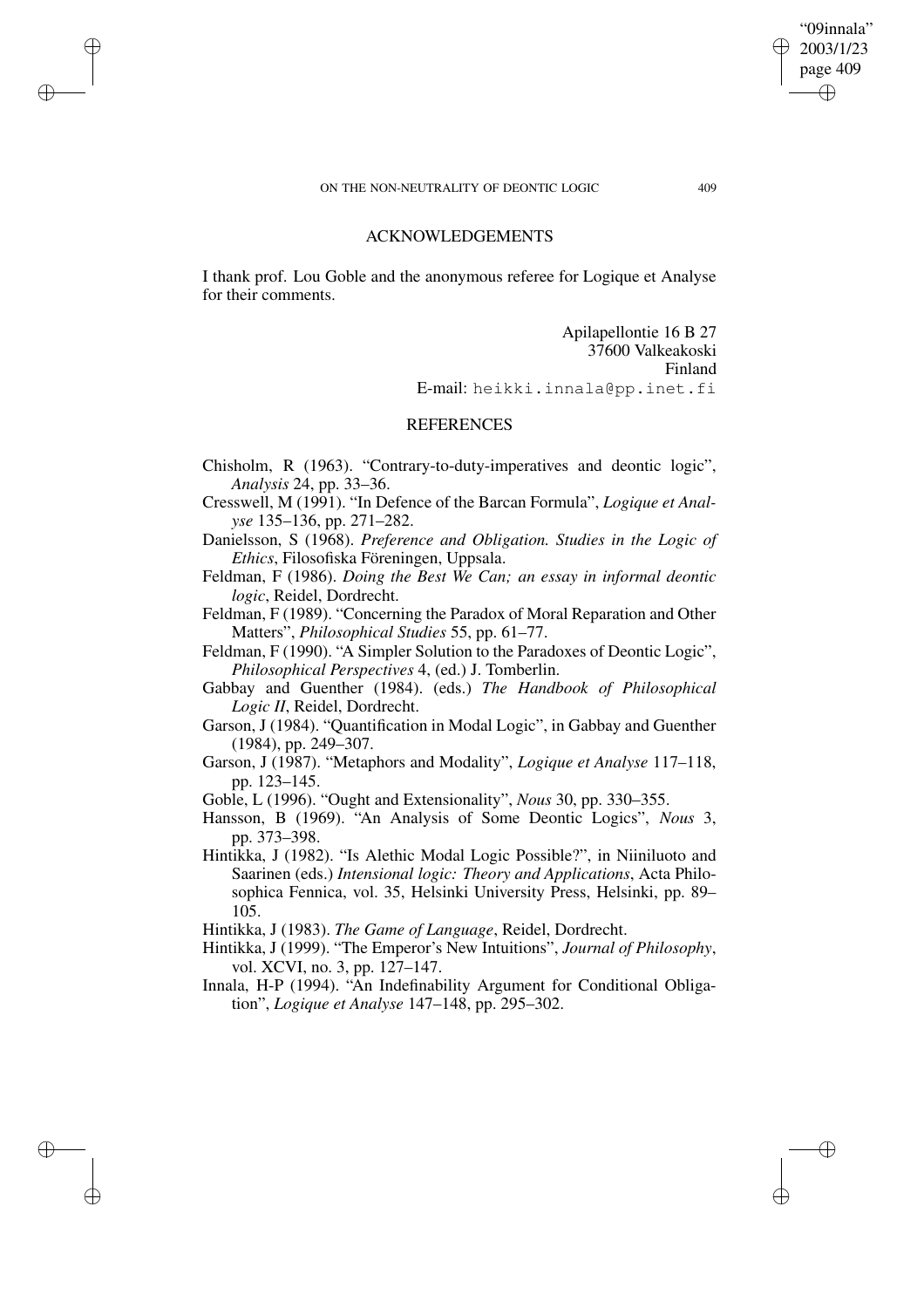✐

✐

✐

✐

"09innala" 2003/1/23 page 409 ✐ ✐

✐

✐

# ACKNOWLEDGEMENTS

I thank prof. Lou Goble and the anonymous referee for Logique et Analyse for their comments.

> Apilapellontie 16 B 27 37600 Valkeakoski Finland E-mail: heikki.innala@pp.inet.fi

# REFERENCES

- Chisholm, R (1963). "Contrary-to-duty-imperatives and deontic logic", *Analysis* 24, pp. 33–36.
- Cresswell, M (1991). "In Defence of the Barcan Formula", *Logique et Analyse* 135–136, pp. 271–282.

Danielsson, S (1968). *Preference and Obligation. Studies in the Logic of Ethics*, Filosofiska Föreningen, Uppsala.

- Feldman, F (1986). *Doing the Best We Can; an essay in informal deontic logic*, Reidel, Dordrecht.
- Feldman, F (1989). "Concerning the Paradox of Moral Reparation and Other Matters", *Philosophical Studies* 55, pp. 61–77.
- Feldman, F (1990). "A Simpler Solution to the Paradoxes of Deontic Logic", *Philosophical Perspectives* 4, (ed.) J. Tomberlin.
- Gabbay and Guenther (1984). (eds.) *The Handbook of Philosophical Logic II*, Reidel, Dordrecht.
- Garson, J (1984). "Quantification in Modal Logic", in Gabbay and Guenther (1984), pp. 249–307.
- Garson, J (1987). "Metaphors and Modality", *Logique et Analyse* 117–118, pp. 123–145.
- Goble, L (1996). "Ought and Extensionality", *Nous* 30, pp. 330–355.
- Hansson, B (1969). "An Analysis of Some Deontic Logics", *Nous* 3, pp. 373–398.
- Hintikka, J (1982). "Is Alethic Modal Logic Possible?", in Niiniluoto and Saarinen (eds.) *Intensional logic: Theory and Applications*, Acta Philosophica Fennica, vol. 35, Helsinki University Press, Helsinki, pp. 89– 105.
- Hintikka, J (1983). *The Game of Language*, Reidel, Dordrecht.
- Hintikka, J (1999). "The Emperor's New Intuitions", *Journal of Philosophy*, vol. XCVI, no. 3, pp. 127–147.
- Innala, H-P (1994). "An Indefinability Argument for Conditional Obligation", *Logique et Analyse* 147–148, pp. 295–302.